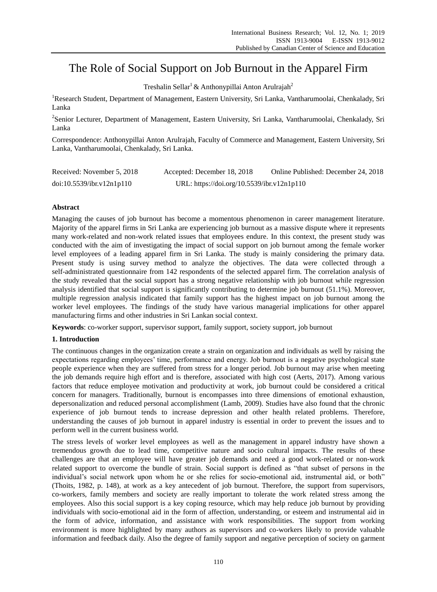# The Role of Social Support on Job Burnout in the Apparel Firm

Treshalin Sellar<sup>1</sup> & Anthonypillai Anton Arulrajah<sup>2</sup>

<sup>1</sup>Research Student, Department of Management, Eastern University, Sri Lanka, Vantharumoolai, Chenkalady, Sri Lanka

<sup>2</sup>Senior Lecturer, Department of Management, Eastern University, Sri Lanka, Vantharumoolai, Chenkalady, Sri Lanka

Correspondence: Anthonypillai Anton Arulrajah, Faculty of Commerce and Management, Eastern University, Sri Lanka, Vantharumoolai, Chenkalady, Sri Lanka.

| Received: November 5, 2018 | Accepted: December 18, 2018                | Online Published: December 24, 2018 |
|----------------------------|--------------------------------------------|-------------------------------------|
| doi:10.5539/ibr.v12n1p110  | URL: https://doi.org/10.5539/ibr.v12n1p110 |                                     |

# **Abstract**

Managing the causes of job burnout has become a momentous phenomenon in career management literature. Majority of the apparel firms in Sri Lanka are experiencing job burnout as a massive dispute where it represents many work-related and non-work related issues that employees endure. In this context, the present study was conducted with the aim of investigating the impact of social support on job burnout among the female worker level employees of a leading apparel firm in Sri Lanka. The study is mainly considering the primary data. Present study is using survey method to analyze the objectives. The data were collected through a self-administrated questionnaire from 142 respondents of the selected apparel firm. The correlation analysis of the study revealed that the social support has a strong negative relationship with job burnout while regression analysis identified that social support is significantly contributing to determine job burnout (51.1%). Moreover, multiple regression analysis indicated that family support has the highest impact on job burnout among the worker level employees. The findings of the study have various managerial implications for other apparel manufacturing firms and other industries in Sri Lankan social context.

**Keywords**: co-worker support, supervisor support, family support, society support, job burnout

## **1. Introduction**

The continuous changes in the organization create a strain on organization and individuals as well by raising the expectations regarding employees' time, performance and energy. Job burnout is a negative psychological state people experience when they are suffered from stress for a longer period. Job burnout may arise when meeting the job demands require high effort and is therefore, associated with high cost (Aerts, 2017). Among various factors that reduce employee motivation and productivity at work, job burnout could be considered a critical concern for managers. Traditionally, burnout is encompasses into three dimensions of emotional exhaustion, depersonalization and reduced personal accomplishment (Lamb, 2009). Studies have also found that the chronic experience of job burnout tends to increase depression and other health related problems. Therefore, understanding the causes of job burnout in apparel industry is essential in order to prevent the issues and to perform well in the current business world.

The stress levels of worker level employees as well as the management in apparel industry have shown a tremendous growth due to lead time, competitive nature and socio cultural impacts. The results of these challenges are that an employee will have greater job demands and need a good work-related or non-work related support to overcome the bundle of strain. Social support is defined as "that subset of persons in the individual's social network upon whom he or she relies for socio-emotional aid, instrumental aid, or both" (Thoits, 1982, p. 148), at work as a key antecedent of job burnout. Therefore, the support from supervisors, co-workers, family members and society are really important to tolerate the work related stress among the employees. Also this social support is a key coping resource, which may help reduce job burnout by providing individuals with socio-emotional aid in the form of affection, understanding, or esteem and instrumental aid in the form of advice, information, and assistance with work responsibilities. The support from working environment is more highlighted by many authors as supervisors and co-workers likely to provide valuable information and feedback daily. Also the degree of family support and negative perception of society on garment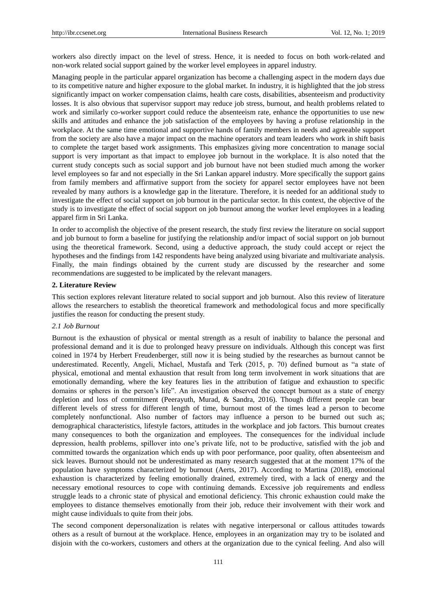workers also directly impact on the level of stress. Hence, it is needed to focus on both work-related and non-work related social support gained by the worker level employees in apparel industry.

Managing people in the particular apparel organization has become a challenging aspect in the modern days due to its competitive nature and higher exposure to the global market. In industry, it is highlighted that the job stress significantly impact on worker compensation claims, health care costs, disabilities, absenteeism and productivity losses. It is also obvious that supervisor support may reduce job stress, burnout, and health problems related to work and similarly co-worker support could reduce the absenteeism rate, enhance the opportunities to use new skills and attitudes and enhance the job satisfaction of the employees by having a profuse relationship in the workplace. At the same time emotional and supportive hands of family members in needs and agreeable support from the society are also have a major impact on the machine operators and team leaders who work in shift basis to complete the target based work assignments. This emphasizes giving more concentration to manage social support is very important as that impact to employee job burnout in the workplace. It is also noted that the current study concepts such as social support and job burnout have not been studied much among the worker level employees so far and not especially in the Sri Lankan apparel industry. More specifically the support gains from family members and affirmative support from the society for apparel sector employees have not been revealed by many authors is a knowledge gap in the literature. Therefore, it is needed for an additional study to investigate the effect of social support on job burnout in the particular sector. In this context, the objective of the study is to investigate the effect of social support on job burnout among the worker level employees in a leading apparel firm in Sri Lanka.

In order to accomplish the objective of the present research, the study first review the literature on social support and job burnout to form a baseline for justifying the relationship and/or impact of social support on job burnout using the theoretical framework. Second, using a deductive approach, the study could accept or reject the hypotheses and the findings from 142 respondents have being analyzed using bivariate and multivariate analysis. Finally, the main findings obtained by the current study are discussed by the researcher and some recommendations are suggested to be implicated by the relevant managers.

#### **2. Literature Review**

This section explores relevant literature related to social support and job burnout. Also this review of literature allows the researchers to establish the theoretical framework and methodological focus and more specifically justifies the reason for conducting the present study.

#### *2.1 Job Burnout*

Burnout is the exhaustion of physical or mental strength as a result of inability to balance the personal and professional demand and it is due to prolonged heavy pressure on individuals. Although this concept was first coined in 1974 by Herbert Freudenberger, still now it is being studied by the researches as burnout cannot be underestimated. Recently, Angeli, Michael, Mustafa and Terk (2015, p. 70) defined burnout as "a state of physical, emotional and mental exhaustion that result from long term involvement in work situations that are emotionally demanding, where the key features lies in the attribution of fatigue and exhaustion to specific domains or spheres in the person's life". An investigation observed the concept burnout as a state of energy depletion and loss of commitment (Peerayuth, Murad, & Sandra, 2016). Though different people can bear different levels of stress for different length of time, burnout most of the times lead a person to become completely nonfunctional. Also number of factors may influence a person to be burned out such as; demographical characteristics, lifestyle factors, attitudes in the workplace and job factors. This burnout creates many consequences to both the organization and employees. The consequences for the individual include depression, health problems, spillover into one's private life, not to be productive, satisfied with the job and committed towards the organization which ends up with poor performance, poor quality, often absenteeism and sick leaves. Burnout should not be underestimated as many research suggested that at the moment 17% of the population have symptoms characterized by burnout (Aerts, 2017). According to Martina (2018), emotional exhaustion is characterized by feeling emotionally drained, extremely tired, with a lack of energy and the necessary emotional resources to cope with continuing demands. Excessive job requirements and endless struggle leads to a chronic state of physical and emotional deficiency. This chronic exhaustion could make the employees to distance themselves emotionally from their job, reduce their involvement with their work and might cause individuals to quite from their jobs.

The second component depersonalization is relates with negative interpersonal or callous attitudes towards others as a result of burnout at the workplace. Hence, employees in an organization may try to be isolated and disjoin with the co-workers, customers and others at the organization due to the cynical feeling. And also will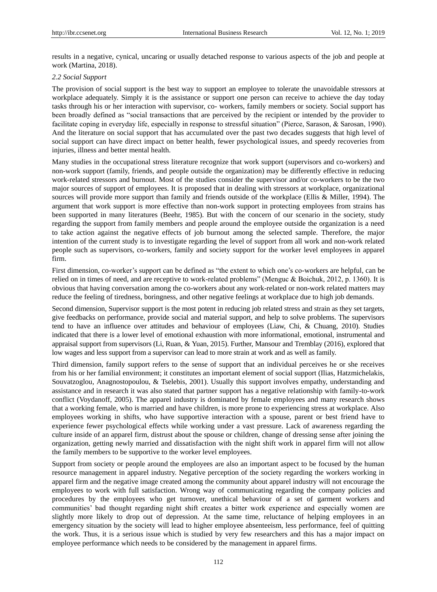results in a negative, cynical, uncaring or usually detached response to various aspects of the job and people at work (Martina, 2018).

#### *2.2 Social Support*

The provision of social support is the best way to support an employee to tolerate the unavoidable stressors at workplace adequately. Simply it is the assistance or support one person can receive to achieve the day today tasks through his or her interaction with supervisor, co- workers, family members or society. Social support has been broadly defined as "social transactions that are perceived by the recipient or intended by the provider to facilitate coping in everyday life, especially in response to stressful situation" (Pierce, Sarason, & Sarosan, 1990). And the literature on social support that has accumulated over the past two decades suggests that high level of social support can have direct impact on better health, fewer psychological issues, and speedy recoveries from injuries, illness and better mental health.

Many studies in the occupational stress literature recognize that work support (supervisors and co-workers) and non-work support (family, friends, and people outside the organization) may be differently effective in reducing work-related stressors and burnout. Most of the studies consider the supervisor and/or co-workers to be the two major sources of support of employees. It is proposed that in dealing with stressors at workplace, organizational sources will provide more support than family and friends outside of the workplace (Ellis & Miller, 1994). The argument that work support is more effective than non-work support in protecting employees from strains has been supported in many literatures (Beehr, 1985). But with the concern of our scenario in the society, study regarding the support from family members and people around the employee outside the organization is a need to take action against the negative effects of job burnout among the selected sample. Therefore, the major intention of the current study is to investigate regarding the level of support from all work and non-work related people such as supervisors, co-workers, family and society support for the worker level employees in apparel firm.

First dimension, co-worker's support can be defined as "the extent to which one's co-workers are helpful, can be relied on in times of need, and are receptive to work-related problems" (Menguc & Boichuk, 2012, p. 1360). It is obvious that having conversation among the co-workers about any work-related or non-work related matters may reduce the feeling of tiredness, boringness, and other negative feelings at workplace due to high job demands.

Second dimension, Supervisor support is the most potent in reducing job related stress and strain as they set targets, give feedbacks on performance, provide social and material support, and help to solve problems. The supervisors tend to have an influence over attitudes and behaviour of employees (Liaw, Chi, & Chuang, 2010). Studies indicated that there is a lower level of emotional exhaustion with more informational, emotional, instrumental and appraisal support from supervisors (Li, Ruan, & Yuan, 2015). Further, Mansour and Tremblay (2016), explored that low wages and less support from a supervisor can lead to more strain at work and as well as family.

Third dimension, family support refers to the sense of support that an individual perceives he or she receives from his or her familial environment; it constitutes an important element of social support (Ilias, Hatzmichelakis, Souvatzoglou, Anagnostopoulou, & Tselebis, 2001). Usually this support involves empathy, understanding and assistance and in research it was also stated that partner support has a negative relationship with family-to-work conflict (Voydanoff, 2005). The apparel industry is dominated by female employees and many research shows that a working female, who is married and have children, is more prone to experiencing stress at workplace. Also employees working in shifts, who have supportive interaction with a spouse, parent or best friend have to experience fewer psychological effects while working under a vast pressure. Lack of awareness regarding the culture inside of an apparel firm, distrust about the spouse or children, change of dressing sense after joining the organization, getting newly married and dissatisfaction with the night shift work in apparel firm will not allow the family members to be supportive to the worker level employees.

Support from society or people around the employees are also an important aspect to be focused by the human resource management in apparel industry. Negative perception of the society regarding the workers working in apparel firm and the negative image created among the community about apparel industry will not encourage the employees to work with full satisfaction. Wrong way of communicating regarding the company policies and procedures by the employees who get turnover, unethical behaviour of a set of garment workers and communities' bad thought regarding night shift creates a bitter work experience and especially women are slightly more likely to drop out of depression. At the same time, reluctance of helping employees in an emergency situation by the society will lead to higher employee absenteeism, less performance, feel of quitting the work. Thus, it is a serious issue which is studied by very few researchers and this has a major impact on employee performance which needs to be considered by the management in apparel firms.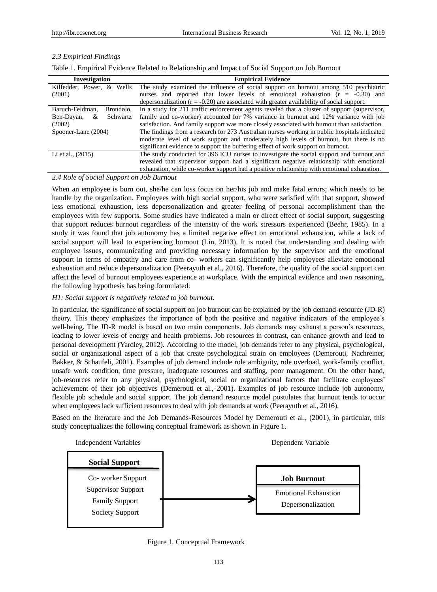## *2.3 Empirical Findings*

Table 1. Empirical Evidence Related to Relationship and Impact of Social Support on Job Burnout

| Investigation                | <b>Empirical Evidence</b>                                                                    |
|------------------------------|----------------------------------------------------------------------------------------------|
| Kilfedder, Power, & Wells    | The study examined the influence of social support on burnout among 510 psychiatric          |
| (2001)                       | and reported that lower levels of emotional exhaustion $(r = -0.30)$ and<br>nurses           |
|                              | depersonalization $(r = -0.20)$ are associated with greater availability of social support.  |
| Baruch-Feldman,<br>Brondolo. | In a study for 211 traffic enforcement agents reveled that a cluster of support (supervisor, |
| Schwartz<br>Ben-Dayan,<br>&  | family and co-worker) accounted for 7% variance in burnout and 12% variance with job         |
| (2002)                       | satisfaction. And family support was more closely associated with burnout than satisfaction. |
| Spooner-Lane (2004)          | The findings from a research for 273 Australian nurses working in public hospitals indicated |
|                              | moderate level of work support and moderately high levels of burnout, but there is no        |
|                              | significant evidence to support the buffering effect of work support on burnout.             |
| Li et al., $(2015)$          | The study conducted for 396 ICU nurses to investigate the social support and burnout and     |
|                              | revealed that supervisor support had a significant negative relationship with emotional      |
|                              | exhaustion, while co-worker support had a positive relationship with emotional exhaustion.   |

*2.4 Role of Social Support on Job Burnout*

When an employee is burn out, she/he can loss focus on her/his job and make fatal errors; which needs to be handle by the organization. Employees with high social support, who were satisfied with that support, showed less emotional exhaustion, less depersonalization and greater feeling of personal accomplishment than the employees with few supports. Some studies have indicated a main or direct effect of social support, suggesting that support reduces burnout regardless of the intensity of the work stressors experienced (Beehr, 1985). In a study it was found that job autonomy has a limited negative effect on emotional exhaustion, while a lack of social support will lead to experiencing burnout (Lin, 2013). It is noted that understanding and dealing with employee issues, communicating and providing necessary information by the supervisor and the emotional support in terms of empathy and care from co- workers can significantly help employees alleviate emotional exhaustion and reduce depersonalization (Peerayuth et al., 2016). Therefore, the quality of the social support can affect the level of burnout employees experience at workplace. With the empirical evidence and own reasoning, the following hypothesis has being formulated:

## *H1: Social support is negatively related to job burnout.*

In particular, the significance of social support on job burnout can be explained by the job demand-resource (JD-R) theory. This theory emphasizes the importance of both the positive and negative indicators of the employee's well-being. The JD-R model is based on two main components. Job demands may exhaust a person's resources, leading to lower levels of energy and health problems. Job resources in contrast, can enhance growth and lead to personal development (Yardley, 2012). According to the model, job demands refer to any physical, psychological, social or organizational aspect of a job that create psychological strain on employees (Demerouti, Nachreiner, Bakker, & Schaufeli, 2001). Examples of job demand include role ambiguity, role overload, work-family conflict, unsafe work condition, time pressure, inadequate resources and staffing, poor management. On the other hand, job-resources refer to any physical, psychological, social or organizational factors that facilitate employees' achievement of their job objectives (Demerouti et al., 2001). Examples of job resource include job autonomy, flexible job schedule and social support. The job demand resource model postulates that burnout tends to occur when employees lack sufficient resources to deal with job demands at work (Peerayuth et al., 2016).

Based on the literature and the Job Demands-Resources Model by Demerouti et al., (2001), in particular, this study conceptualizes the following conceptual framework as shown in Figure 1.



Figure 1. Conceptual Framework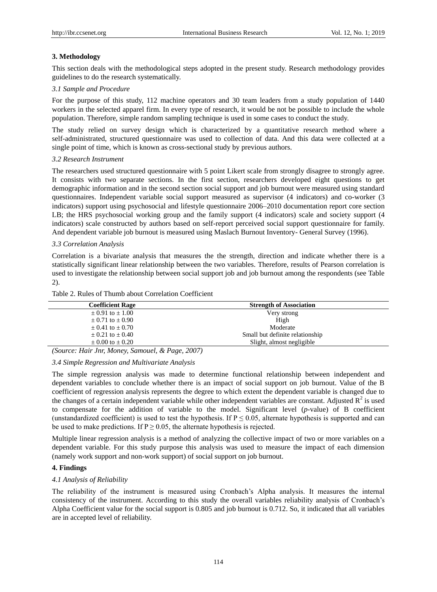## **3. Methodology**

This section deals with the methodological steps adopted in the present study. Research methodology provides guidelines to do the research systematically.

## *3.1 Sample and Procedure*

For the purpose of this study, 112 machine operators and 30 team leaders from a study population of 1440 workers in the selected apparel firm. In every type of research, it would be not be possible to include the whole population. Therefore, simple random sampling technique is used in some cases to conduct the study.

The study relied on survey design which is characterized by a quantitative research method where a self-administrated, structured questionnaire was used to collection of data. And this data were collected at a single point of time, which is known as cross-sectional study by previous authors.

#### *3.2 Research Instrument*

The researchers used structured questionnaire with 5 point Likert scale from strongly disagree to strongly agree. It consists with two separate sections. In the first section, researchers developed eight questions to get demographic information and in the second section social support and job burnout were measured using standard questionnaires. Independent variable social support measured as supervisor (4 indicators) and co-worker (3 indicators) support using psychosocial and lifestyle questionnaire 2006–2010 documentation report core section LB; the HRS psychosocial working group and the family support (4 indicators) scale and society support (4 indicators) scale constructed by authors based on self-report perceived social support questionnaire for family. And dependent variable job burnout is measured using Maslach Burnout Inventory- General Survey (1996).

## *3.3 Correlation Analysis*

Correlation is a bivariate analysis that measures the the strength, direction and indicate whether there is a statistically significant linear relationship between the two variables. Therefore, results of Pearson correlation is used to investigate the relationship between social support job and job burnout among the respondents (see Table 2).

| aoic 2. Kuics of Thumo about Correlation Cochicient |                                 |  |  |  |
|-----------------------------------------------------|---------------------------------|--|--|--|
| <b>Coefficient Rage</b>                             | <b>Strength of Association</b>  |  |  |  |
| $\pm 0.91$ to $\pm 1.00$                            | Very strong                     |  |  |  |
| $\pm 0.71$ to $\pm 0.90$                            | High                            |  |  |  |
| $+0.41$ to $+0.70$                                  | Moderate                        |  |  |  |
| $\pm 0.21$ to $\pm 0.40$                            | Small but definite relationship |  |  |  |

 $\pm 0.00$  to  $\pm 0.20$  Slight, almost negligible

Table 2. Rules of Thumh about Correlation Coefficient

*(Source: Hair Jnr, Money, Samouel, & Page, 2007)*

## *3.4 Simple Regression and Multivariate Analysis*

The simple regression analysis was made to determine functional relationship between independent and dependent variables to conclude whether there is an impact of social support on job burnout. Value of the B coefficient of regression analysis represents the degree to which extent the dependent variable is changed due to the changes of a certain independent variable while other independent variables are constant. Adjusted  $R^2$  is used to compensate for the addition of variable to the model. Significant level (*p*-value) of B coefficient (unstandardized coefficient) is used to test the hypothesis. If  $P \le 0.05$ , alternate hypothesis is supported and can be used to make predictions. If  $P \ge 0.05$ , the alternate hypothesis is rejected.

Multiple linear regression analysis is a method of analyzing the collective impact of two or more variables on a dependent variable. For this study purpose this analysis was used to measure the impact of each dimension (namely work support and non-work support) of social support on job burnout.

## **4. Findings**

## *4.1 Analysis of Reliability*

The reliability of the instrument is measured using Cronbach's Alpha analysis. It measures the internal consistency of the instrument. According to this study the overall variables reliability analysis of Cronbach's Alpha Coefficient value for the social support is 0.805 and job burnout is 0.712. So, it indicated that all variables are in accepted level of reliability.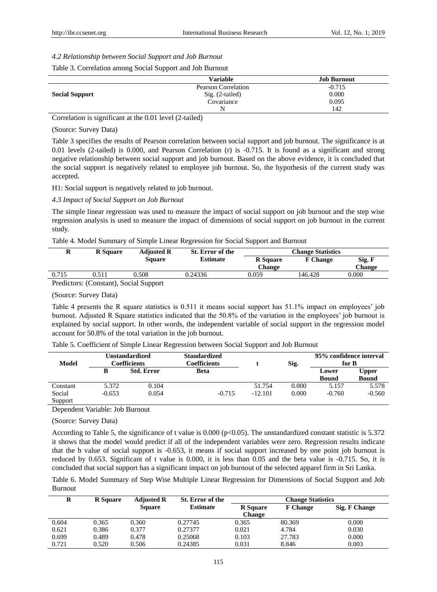*4.2 Relationship between Social Support and Job Burnout*

| Table 3. Correlation among Social Support and Job Burnout |  |  |
|-----------------------------------------------------------|--|--|
|-----------------------------------------------------------|--|--|

|                       | Variable            | <b>Job Burnout</b> |
|-----------------------|---------------------|--------------------|
|                       | Pearson Correlation | $-0.715$           |
| <b>Social Support</b> | $Sig. (2-tailed)$   | 0.000              |
|                       | Covariance          | 0.095              |
|                       | N                   | 142                |

Correlation is significant at the 0.01 level (2-tailed)

(Source: Survey Data)

Table 3 specifies the results of Pearson correlation between social support and job burnout. The significance is at 0.01 levels (2-tailed) is 0.000, and Pearson Correlation (r) is -0.715. It is found as a significant and strong negative relationship between social support and job burnout. Based on the above evidence, it is concluded that the social support is negatively related to employee job burnout. So, the hypothesis of the current study was accepted.

H1: Social support is negatively related to job burnout.

*4.3 Impact of Social Support on Job Burnout*

The simple linear regression was used to measure the impact of social support on job burnout and the step wise regression analysis is used to measure the impact of dimensions of social support on job burnout in the current study.

Table 4. Model Summary of Simple Linear Regression for Social Support and Burnout

| ĸ     | <b>R</b> Square | <b>Adjusted R</b> | St. Error of the | <b>Change Statistics</b> |                 |        |
|-------|-----------------|-------------------|------------------|--------------------------|-----------------|--------|
|       |                 | <b>Square</b>     | <b>Estimate</b>  | <b>R</b> Square          | <b>F</b> Change | Sig. F |
|       |                 |                   |                  | Change                   |                 | Change |
| 0.715 | 0.511           | 0.508             | 0.24336          | 9.059                    | 146.428         | 0.000  |
| $  -$ |                 |                   |                  |                          |                 |        |

Predictors: (Constant), Social Support

(Source: Survey Data)

Table 4 presents the R square statistics is 0.511 it means social support has 51.1% impact on employees' job burnout. Adjusted R Square statistics indicated that the 50.8% of the variation in the employees' job burnout is explained by social support. In other words, the independent variable of social support in the regression model account for 50.8% of the total variation in the job burnout.

| Unstandardized<br>Model<br>Coefficients |          |                   | <b>Standardized</b><br>Coefficients |           | Sig.  | 95% confidence interval<br>for B |                              |
|-----------------------------------------|----------|-------------------|-------------------------------------|-----------|-------|----------------------------------|------------------------------|
|                                         | в        | <b>Std. Error</b> | <b>Beta</b>                         |           |       | Lower<br><b>Bound</b>            | <b>Upper</b><br><b>Bound</b> |
| Constant                                | 5.372    | 0.104             |                                     | 51.754    | 0.000 | 5.157                            | 5.578                        |
| Social<br>Support                       | $-0.653$ | 0.054             | $-0.715$                            | $-12.101$ | 0.000 | $-0.760$                         | $-0.560$                     |

Table 5. Coefficient of Simple Linear Regression between Social Support and Job Burnout

Dependent Variable: Job Burnout

(Source: Survey Data)

According to Table 5, the significance of t value is 0.000 (p<0.05). The unstandardized constant statistic is 5.372 it shows that the model would predict if all of the independent variables were zero. Regression results indicate that the b value of social support is -0.653, it means if social support increased by one point job burnout is reduced by 0.653. Significant of t value is 0.000, it is less than 0.05 and the beta value is -0.715. So, it is concluded that social support has a significant impact on job burnout of the selected apparel firm in Sri Lanka.

Table 6. Model Summary of Step Wise Multiple Linear Regression for Dimensions of Social Support and Job Burnout

| R     | <b>R</b> Square | <b>Adjusted R</b> | St. Error of the | <b>Change Statistics</b>         |                 |               |
|-------|-----------------|-------------------|------------------|----------------------------------|-----------------|---------------|
|       |                 | <b>Square</b>     | <b>Estimate</b>  | <b>R</b> Square<br><b>Change</b> | <b>F</b> Change | Sig. F Change |
| 0.604 | 0.365           | 0.360             | 0.27745          | 0.365                            | 80.369          | 0.000         |
| 0.621 | 0.386           | 0.377             | 0.27377          | 0.021                            | 4.784           | 0.030         |
| 0.699 | 0.489           | 0.478             | 0.25068          | 0.103                            | 27.783          | 0.000         |
| 0.721 | 0.520           | 0.506             | 0.24385          | 0.031                            | 8.846           | 0.003         |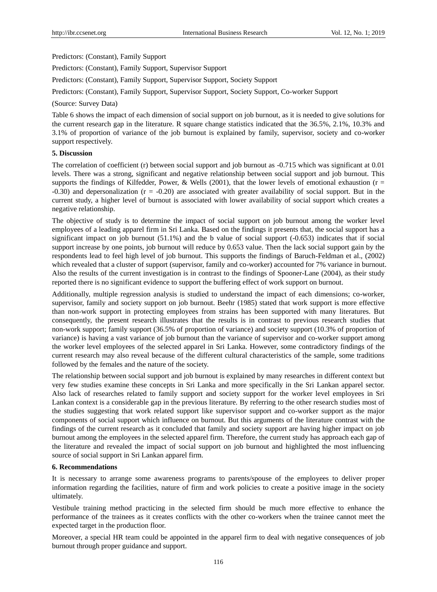Predictors: (Constant), Family Support

Predictors: (Constant), Family Support, Supervisor Support

Predictors: (Constant), Family Support, Supervisor Support, Society Support

Predictors: (Constant), Family Support, Supervisor Support, Society Support, Co-worker Support

#### (Source: Survey Data)

Table 6 shows the impact of each dimension of social support on job burnout, as it is needed to give solutions for the current research gap in the literature. R square change statistics indicated that the 36.5%, 2.1%, 10.3% and 3.1% of proportion of variance of the job burnout is explained by family, supervisor, society and co-worker support respectively.

### **5. Discussion**

The correlation of coefficient (r) between social support and job burnout as -0.715 which was significant at 0.01 levels. There was a strong, significant and negative relationship between social support and job burnout. This supports the findings of Kilfedder, Power, & Wells (2001), that the lower levels of emotional exhaustion ( $r =$  $-0.30$ ) and depersonalization ( $r = -0.20$ ) are associated with greater availability of social support. But in the current study, a higher level of burnout is associated with lower availability of social support which creates a negative relationship.

The objective of study is to determine the impact of social support on job burnout among the worker level employees of a leading apparel firm in Sri Lanka. Based on the findings it presents that, the social support has a significant impact on job burnout  $(51.1\%)$  and the b value of social support  $(-0.653)$  indicates that if social support increase by one points, job burnout will reduce by 0.653 value. Then the lack social support gain by the respondents lead to feel high level of job burnout. This supports the findings of Baruch-Feldman et al., (2002) which revealed that a cluster of support (supervisor, family and co-worker) accounted for 7% variance in burnout. Also the results of the current investigation is in contrast to the findings of Spooner-Lane (2004), as their study reported there is no significant evidence to support the buffering effect of work support on burnout.

Additionally, multiple regression analysis is studied to understand the impact of each dimensions; co-worker, supervisor, family and society support on job burnout. Beehr (1985) stated that work support is more effective than non-work support in protecting employees from strains has been supported with many literatures. But consequently, the present research illustrates that the results is in contrast to previous research studies that non-work support; family support (36.5% of proportion of variance) and society support (10.3% of proportion of variance) is having a vast variance of job burnout than the variance of supervisor and co-worker support among the worker level employees of the selected apparel in Sri Lanka. However, some contradictory findings of the current research may also reveal because of the different cultural characteristics of the sample, some traditions followed by the females and the nature of the society.

The relationship between social support and job burnout is explained by many researches in different context but very few studies examine these concepts in Sri Lanka and more specifically in the Sri Lankan apparel sector. Also lack of researches related to family support and society support for the worker level employees in Sri Lankan context is a considerable gap in the previous literature. By referring to the other research studies most of the studies suggesting that work related support like supervisor support and co-worker support as the major components of social support which influence on burnout. But this arguments of the literature contrast with the findings of the current research as it concluded that family and society support are having higher impact on job burnout among the employees in the selected apparel firm. Therefore, the current study has approach each gap of the literature and revealed the impact of social support on job burnout and highlighted the most influencing source of social support in Sri Lankan apparel firm.

#### **6. Recommendations**

It is necessary to arrange some awareness programs to parents/spouse of the employees to deliver proper information regarding the facilities, nature of firm and work policies to create a positive image in the society ultimately.

Vestibule training method practicing in the selected firm should be much more effective to enhance the performance of the trainees as it creates conflicts with the other co-workers when the trainee cannot meet the expected target in the production floor.

Moreover, a special HR team could be appointed in the apparel firm to deal with negative consequences of job burnout through proper guidance and support.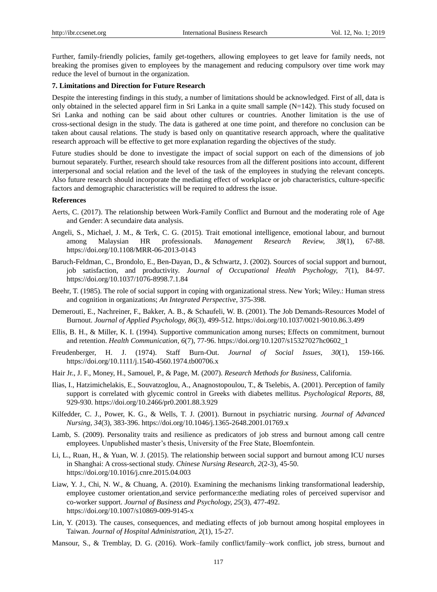Further, family-friendly policies, family get-togethers, allowing employees to get leave for family needs, not breaking the promises given to employees by the management and reducing compulsory over time work may reduce the level of burnout in the organization.

#### **7. Limitations and Direction for Future Research**

Despite the interesting findings in this study, a number of limitations should be acknowledged. First of all, data is only obtained in the selected apparel firm in Sri Lanka in a quite small sample  $(N=142)$ . This study focused on Sri Lanka and nothing can be said about other cultures or countries. Another limitation is the use of cross-sectional design in the study. The data is gathered at one time point, and therefore no conclusion can be taken about causal relations. The study is based only on quantitative research approach, where the qualitative research approach will be effective to get more explanation regarding the objectives of the study.

Future studies should be done to investigate the impact of social support on each of the dimensions of job burnout separately. Further, research should take resources from all the different positions into account, different interpersonal and social relation and the level of the task of the employees in studying the relevant concepts. Also future research should incorporate the mediating effect of workplace or job characteristics, culture-specific factors and demographic characteristics will be required to address the issue.

#### **References**

- Aerts, C. (2017). The relationship between Work-Family Conflict and Burnout and the moderating role of Age and Gender: A secundaire data analysis.
- Angeli, S., Michael, J. M., & Terk, C. G. (2015). Trait emotional intelligence, emotional labour, and burnout among Malaysian HR professionals. *Management Research Review, 38*(1), 67-88. https://doi.org/10.1108/MRR-06-2013-0143
- Baruch-Feldman, C., Brondolo, E., Ben-Dayan, D., & Schwartz, J. (2002). Sources of social support and burnout, job satisfaction, and productivity. *Journal of Occupational Health Psychology, 7*(1), 84-97. https://doi.org/10.1037/1076-8998.7.1.84
- Beehr, T. (1985). The role of social support in coping with organizational stress. New York; Wiley.: Human stress and cognition in organizations; *An Integrated Perspective*, 375-398.
- Demerouti, E., Nachreiner, F., Bakker, A. B., & Schaufeli, W. B. (2001). The Job Demands-Resources Model of Burnout. *Journal of Applied Psychology, 86*(3), 499-512. https://doi.org/10.1037/0021-9010.86.3.499
- Ellis, B. H., & Miller, K. I. (1994). Supportive communication among nurses; Effects on commitment, burnout and retention. *Health Communication, 6*(7), 77-96. https://doi.org/10.1207/s15327027hc0602\_1
- Freudenberger, H. J. (1974). Staff Burn-Out. *Journal of Social Issues, 30*(1), 159-166. https://doi.org/10.1111/j.1540-4560.1974.tb00706.x
- Hair Jr., J. F., Money, H., Samouel, P., & Page, M. (2007). *Research Methods for Business,* California.
- Ilias, I., Hatzimichelakis, E., Souvatzoglou, A., Anagnostopoulou, T., & Tselebis, A. (2001). Perception of family support is correlated with glycemic control in Greeks with diabetes mellitus. *Psychological Reports, 88*, 929-930. https://doi.org/10.2466/pr0.2001.88.3.929
- Kilfedder, C. J., Power, K. G., & Wells, T. J. (2001). Burnout in psychiatric nursing. *Journal of Advanced Nursing, 34*(3), 383-396. https://doi.org/10.1046/j.1365-2648.2001.01769.x
- Lamb, S. (2009). Personality traits and resilience as predicators of job stress and burnout among call centre employees. Unpublished master's thesis, University of the Free State, Bloemfontein.
- Li, L., Ruan, H., & Yuan, W. J. (2015). The relationship between social support and burnout among ICU nurses in Shanghai: A cross-sectional study. *Chinese Nursing Research, 2*(2-3), 45-50. https://doi.org/10.1016/j.cnre.2015.04.003
- Liaw, Y. J., Chi, N. W., & Chuang, A. (2010). Examining the mechanisms linking transformational leadership, employee customer orientation,and service performance:the mediating roles of perceived supervisor and co-worker support. *Journal of Business and Psychology, 25*(3), 477-492. https://doi.org/10.1007/s10869-009-9145-x
- Lin, Y. (2013). The causes, consequences, and mediating effects of job burnout among hospital employees in Taiwan. *Journal of Hospital Administration, 2*(1), 15-27.
- Mansour, S., & Tremblay, D. G. (2016). Work–family conflict/family–work conflict, job stress, burnout and